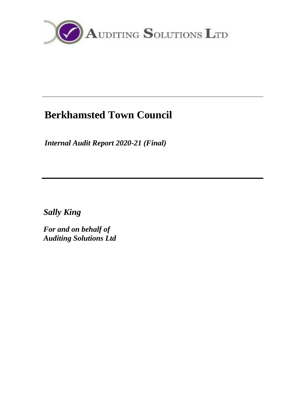

# **Berkhamsted Town Council**

*Internal Audit Report 2020-21 (Final)*

*Sally King*

*For and on behalf of Auditing Solutions Ltd*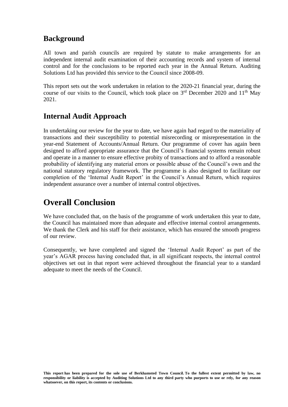### **Background**

All town and parish councils are required by statute to make arrangements for an independent internal audit examination of their accounting records and system of internal control and for the conclusions to be reported each year in the Annual Return. Auditing Solutions Ltd has provided this service to the Council since 2008-09.

This report sets out the work undertaken in relation to the 2020-21 financial year, during the course of our visits to the Council, which took place on  $3<sup>rd</sup>$  December 2020 and  $11<sup>th</sup>$  May 2021.

### **Internal Audit Approach**

In undertaking our review for the year to date, we have again had regard to the materiality of transactions and their susceptibility to potential misrecording or misrepresentation in the year-end Statement of Accounts/Annual Return. Our programme of cover has again been designed to afford appropriate assurance that the Council's financial systems remain robust and operate in a manner to ensure effective probity of transactions and to afford a reasonable probability of identifying any material errors or possible abuse of the Council's own and the national statutory regulatory framework. The programme is also designed to facilitate our completion of the 'Internal Audit Report' in the Council's Annual Return, which requires independent assurance over a number of internal control objectives.

## **Overall Conclusion**

We have concluded that, on the basis of the programme of work undertaken this year to date, the Council has maintained more than adequate and effective internal control arrangements. We thank the Clerk and his staff for their assistance, which has ensured the smooth progress of our review.

Consequently, we have completed and signed the 'Internal Audit Report' as part of the year's AGAR process having concluded that, in all significant respects, the internal control objectives set out in that report were achieved throughout the financial year to a standard adequate to meet the needs of the Council.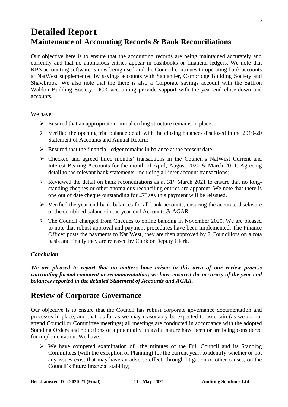# **Detailed Report Maintenance of Accounting Records & Bank Reconciliations**

Our objective here is to ensure that the accounting records are being maintained accurately and currently and that no anomalous entries appear in cashbooks or financial ledgers. We note that RBS accounting software is now being used and the Council continues to operating bank accounts at NatWest supplemented by savings accounts with Santander, Cambridge Building Society and Shawbrook. We also note that the there is also a Corporate savings account with the Saffron Waldon Building Society. DCK accounting provide support with the year-end close-down and accounts.

We have:

- $\triangleright$  Ensured that an appropriate nominal coding structure remains in place;
- ➢ Verified the opening trial balance detail with the closing balances disclosed in the 2019-20 Statement of Accounts and Annual Return;
- $\triangleright$  Ensured that the financial ledger remains in balance at the present date;
- ➢ Checked and agreed three months' transactions in the Council's NatWest Current and Interest Bearing Accounts for the month of April, August 2020 & March 2021. Agreeing detail to the relevant bank statements, including all inter account transactions;
- $\triangleright$  Reviewed the detail on bank reconciliations as at 31<sup>st</sup> March 2021 to ensure that no longstanding cheques or other anomalous reconciling entries are apparent. We note that there is one out of date cheque outstanding for £75.00, this payment will be reissued.
- $\triangleright$  Verified the year-end bank balances for all bank accounts, ensuring the accurate disclosure of the combined balance in the year-end Accounts & AGAR.
- $\triangleright$  The Council changed from Cheques to online banking in November 2020. We are pleased to note that robust approval and payment procedures have been implemented. The Finance Officer posts the payments to Nat West, they are then approved by 2 Councillors on a rota basis and finally they are released by Clerk or Deputy Clerk.

#### *Conclusion*

*We are pleased to report that no matters have arisen in this area of our review process warranting formal comment or recommendation; we have ensured the accuracy of the year-end balances reported in the detailed Statement of Accounts and AGAR.*

### **Review of Corporate Governance**

Our objective is to ensure that the Council has robust corporate governance documentation and processes in place, and that, as far as we may reasonably be expected to ascertain (as we do not attend Council or Committee meetings) all meetings are conducted in accordance with the adopted Standing Orders and no actions of a potentially unlawful nature have been or are being considered for implementation. We have: -

➢ We have competed examination of the minutes of the Full Council and its Standing Committees (with the exception of Planning) for the current year. to identify whether or not any issues exist that may have an adverse effect, through litigation or other causes, on the Council's future financial stability;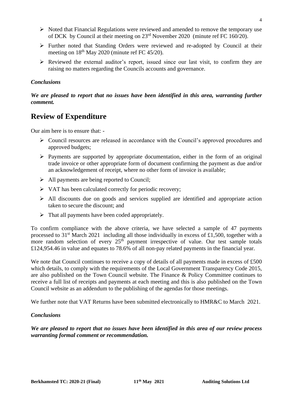- ➢ Noted that Financial Regulations were reviewed and amended to remove the temporary use of DCK by Council at their meeting on 23rd November 2020 (minute ref FC 160/20).
- ➢ Further noted that Standing Orders were reviewed and re-adopted by Council at their meeting on  $18<sup>th</sup>$  May 2020 (minute ref FC 45/20).
- $\triangleright$  Reviewed the external auditor's report, issued since our last visit, to confirm they are raising no matters regarding the Councils accounts and governance.

#### *Conclusions*

#### *We are pleased to report that no issues have been identified in this area, warranting further comment.*

### **Review of Expenditure**

Our aim here is to ensure that: -

- ➢ Council resources are released in accordance with the Council's approved procedures and approved budgets;
- $\triangleright$  Payments are supported by appropriate documentation, either in the form of an original trade invoice or other appropriate form of document confirming the payment as due and/or an acknowledgement of receipt, where no other form of invoice is available;
- ➢ All payments are being reported to Council;
- ➢ VAT has been calculated correctly for periodic recovery;
- $\triangleright$  All discounts due on goods and services supplied are identified and appropriate action taken to secure the discount; and
- $\triangleright$  That all payments have been coded appropriately.

To confirm compliance with the above criteria, we have selected a sample of 47 payments processed to  $31<sup>st</sup>$  March 2021 including all those individually in excess of £1,500, together with a more random selection of every  $25<sup>th</sup>$  payment irrespective of value. Our test sample totals £124,954.46 in value and equates to 78.6% of all non-pay related payments in the financial year.

We note that Council continues to receive a copy of details of all payments made in excess of £500 which details, to comply with the requirements of the Local Government Transparency Code 2015, are also published on the Town Council website. The Finance & Policy Committee continues to receive a full list of receipts and payments at each meeting and this is also published on the Town Council website as an addendum to the publishing of the agendas for those meetings.

We further note that VAT Returns have been submitted electronically to HMR&C to March 2021.

#### *Conclusions*

*We are pleased to report that no issues have been identified in this area of our review process warranting formal comment or recommendation.*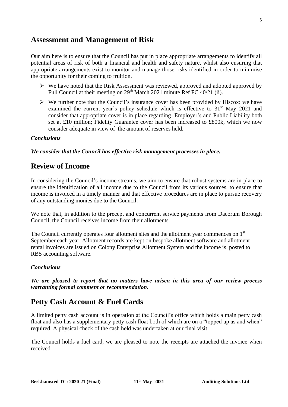### **Assessment and Management of Risk**

Our aim here is to ensure that the Council has put in place appropriate arrangements to identify all potential areas of risk of both a financial and health and safety nature, whilst also ensuring that appropriate arrangements exist to monitor and manage those risks identified in order to minimise the opportunity for their coming to fruition.

- ➢ We have noted that the Risk Assessment was reviewed, approved and adopted approved by Full Council at their meeting on 29<sup>th</sup> March 2021 minute Ref FC 40/21 (ii).
- $\triangleright$  We further note that the Council's insurance cover has been provided by Hiscox: we have examined the current year's policy schedule which is effective to 31<sup>st</sup> May 2021 and consider that appropriate cover is in place regarding Employer's and Public Liability both set at £10 million; Fidelity Guarantee cover has been increased to £800k, which we now consider adequate in view of the amount of reserves held.

#### *Conclusions*

*We consider that the Council has effective risk management processes in place.*

### **Review of Income**

In considering the Council's income streams, we aim to ensure that robust systems are in place to ensure the identification of all income due to the Council from its various sources, to ensure that income is invoiced in a timely manner and that effective procedures are in place to pursue recovery of any outstanding monies due to the Council.

We note that, in addition to the precept and concurrent service payments from Dacorum Borough Council, the Council receives income from their allotments.

The Council currently operates four allotment sites and the allotment year commences on 1st September each year. Allotment records are kept on bespoke allotment software and allotment rental invoices are issued on Colony Enterprise Allotment System and the income is posted to RBS accounting software.

#### *Conclusions*

*We are pleased to report that no matters have arisen in this area of our review process warranting formal comment or recommendation.*

### **Petty Cash Account & Fuel Cards**

A limited petty cash account is in operation at the Council's office which holds a main petty cash float and also has a supplementary petty cash float both of which are on a "topped up as and when" required. A physical check of the cash held was undertaken at our final visit.

The Council holds a fuel card, we are pleased to note the receipts are attached the invoice when received.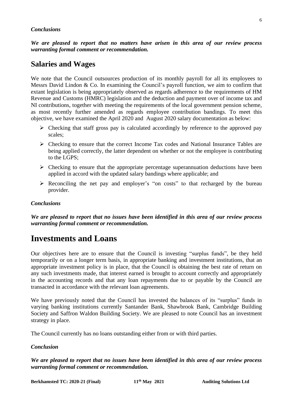#### *Conclusions*

*We are pleased to report that no matters have arisen in this area of our review process warranting formal comment or recommendation.*

### **Salaries and Wages**

We note that the Council outsources production of its monthly payroll for all its employees to Messrs David Lindon & Co. In examining the Council's payroll function, we aim to confirm that extant legislation is being appropriately observed as regards adherence to the requirements of HM Revenue and Customs (HMRC) legislation and the deduction and payment over of income tax and NI contributions, together with meeting the requirements of the local government pension scheme, as most recently further amended as regards employee contribution bandings. To meet this objective, we have examined the April 2020 and August 2020 salary documentation as below:

- ➢ Checking that staff gross pay is calculated accordingly by reference to the approved pay scales;
- ➢ Checking to ensure that the correct Income Tax codes and National Insurance Tables are being applied correctly, the latter dependent on whether or not the employee is contributing to the LGPS;
- $\triangleright$  Checking to ensure that the appropriate percentage superannuation deductions have been applied in accord with the updated salary bandings where applicable; and
- $\triangleright$  Reconciling the net pay and employer's "on costs" to that recharged by the bureau provider.

#### *Conclusions*

*We are pleased to report that no issues have been identified in this area of our review process warranting formal comment or recommendation.*

### **Investments and Loans**

Our objectives here are to ensure that the Council is investing "surplus funds", be they held temporarily or on a longer term basis, in appropriate banking and investment institutions, that an appropriate investment policy is in place, that the Council is obtaining the best rate of return on any such investments made, that interest earned is brought to account correctly and appropriately in the accounting records and that any loan repayments due to or payable by the Council are transacted in accordance with the relevant loan agreements.

We have previously noted that the Council has invested the balances of its "surplus" funds in varying banking institutions currently Santander Bank, Shawbrook Bank, Cambridge Building Society and Saffron Waldon Building Society. We are pleased to note Council has an investment strategy in place.

The Council currently has no loans outstanding either from or with third parties.

#### *Conclusion*

*We are pleased to report that no issues have been identified in this area of our review process warranting formal comment or recommendation.*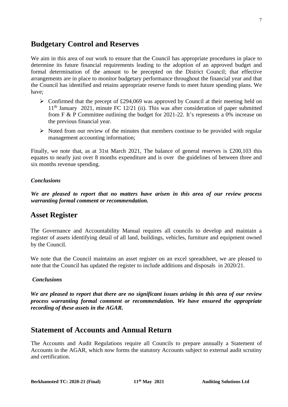7

### **Budgetary Control and Reserves**

We aim in this area of our work to ensure that the Council has appropriate procedures in place to determine its future financial requirements leading to the adoption of an approved budget and formal determination of the amount to be precepted on the District Council; that effective arrangements are in place to monitor budgetary performance throughout the financial year and that the Council has identified and retains appropriate reserve funds to meet future spending plans. We have;

- $\triangleright$  Confirmed that the precept of £294,069 was approved by Council at their meeting held on  $11<sup>th</sup>$  January 2021, minute FC 12/21 (ii). This was after consideration of paper submitted from F & P Committee outlining the budget for 2021-22. It's represents a 0% increase on the previous financial year.
- $\triangleright$  Noted from our review of the minutes that members continue to be provided with regular management accounting information;

Finally, we note that, as at 31st March 2021, The balance of general reserves is £200,103 this equates to nearly just over 8 months expenditure and is over the guidelines of between three and six months revenue spending.

#### *Conclusions*

*We are pleased to report that no matters have arisen in this area of our review process warranting formal comment or recommendation.*

### **Asset Register**

The Governance and Accountability Manual requires all councils to develop and maintain a register of assets identifying detail of all land, buildings, vehicles, furniture and equipment owned by the Council.

We note that the Council maintains an asset register on an excel spreadsheet, we are pleased to note that the Council has updated the register to include additions and disposals in 2020/21.

#### *Conclusions*

*We are pleased to report that there are no significant issues arising in this area of our review process warranting formal comment or recommendation. We have ensured the appropriate recording of these assets in the AGAR.* 

### **Statement of Accounts and Annual Return**

The Accounts and Audit Regulations require all Councils to prepare annually a Statement of Accounts in the AGAR, which now forms the statutory Accounts subject to external audit scrutiny and certification.